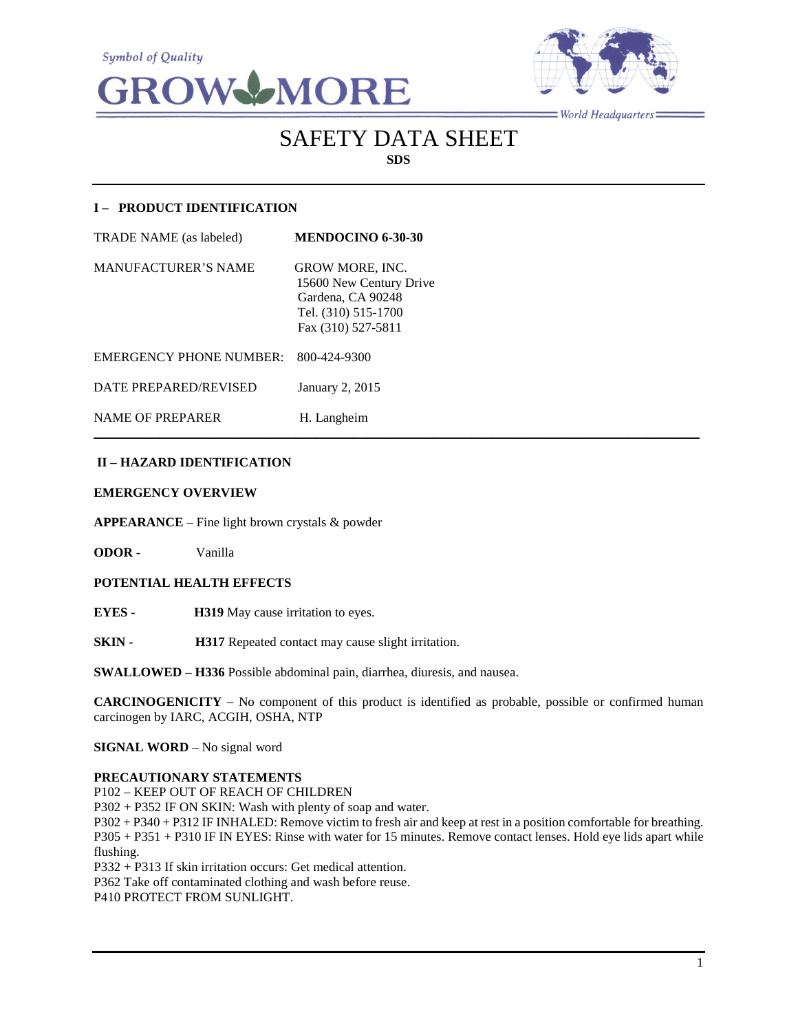



 $=$  World Headquarters  $=$ 

# SAFETY DATA SHEET **SDS**

# **I – PRODUCT IDENTIFICATION**

| TRADE NAME (as labeled) | <b>MENDOCINO 6-30-30</b>                          |
|-------------------------|---------------------------------------------------|
| MANUFACTURER'S NAME     | <b>GROW MORE, INC.</b><br>15600 New Century Drive |
|                         | Gardena, CA 90248                                 |
|                         | Tel. (310) 515-1700<br>Fax (310) 527-5811         |
|                         |                                                   |

EMERGENCY PHONE NUMBER: 800-424-9300

DATE PREPARED/REVISED January 2, 2015

NAME OF PREPARER H. Langheim

# **II – HAZARD IDENTIFICATION**

#### **EMERGENCY OVERVIEW**

**APPEARANCE** – Fine light brown crystals & powder

**ODOR** - Vanilla

# **POTENTIAL HEALTH EFFECTS**

**EYES - H319** May cause irritation to eyes.

**SKIN - H317** Repeated contact may cause slight irritation.

**SWALLOWED – H336** Possible abdominal pain, diarrhea, diuresis, and nausea.

**CARCINOGENICITY** – No component of this product is identified as probable, possible or confirmed human carcinogen by IARC, ACGIH, OSHA, NTP

 $\mathcal{L}_\mathcal{L} = \{ \mathcal{L}_\mathcal{L} = \{ \mathcal{L}_\mathcal{L} = \{ \mathcal{L}_\mathcal{L} = \{ \mathcal{L}_\mathcal{L} = \{ \mathcal{L}_\mathcal{L} = \{ \mathcal{L}_\mathcal{L} = \{ \mathcal{L}_\mathcal{L} = \{ \mathcal{L}_\mathcal{L} = \{ \mathcal{L}_\mathcal{L} = \{ \mathcal{L}_\mathcal{L} = \{ \mathcal{L}_\mathcal{L} = \{ \mathcal{L}_\mathcal{L} = \{ \mathcal{L}_\mathcal{L} = \{ \mathcal{L}_\mathcal{$ 

**SIGNAL WORD** – No signal word

#### **PRECAUTIONARY STATEMENTS**

P102 – KEEP OUT OF REACH OF CHILDREN

P302 + P352 IF ON SKIN: Wash with plenty of soap and water.

P302 + P340 + P312 IF INHALED: Remove victim to fresh air and keep at rest in a position comfortable for breathing. P305 + P351 + P310 IF IN EYES: Rinse with water for 15 minutes. Remove contact lenses. Hold eye lids apart while flushing.

P332 + P313 If skin irritation occurs: Get medical attention.

P362 Take off contaminated clothing and wash before reuse.

P410 PROTECT FROM SUNLIGHT.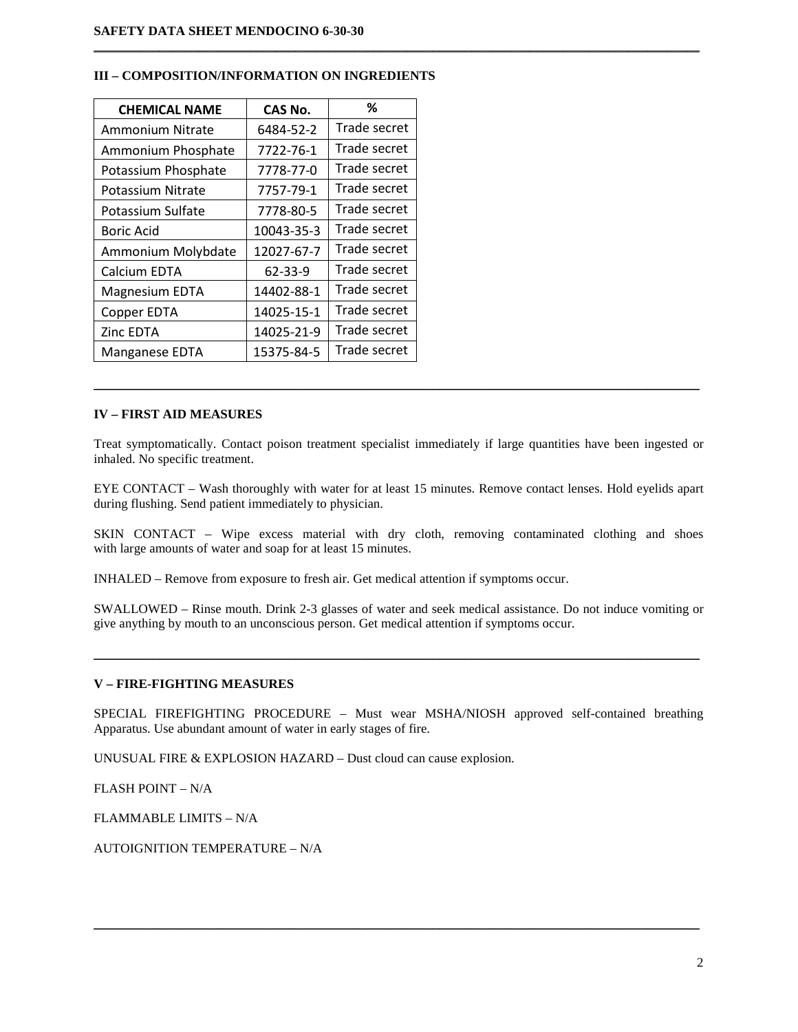| <b>CHEMICAL NAME</b> | <b>CAS No.</b> | %            |
|----------------------|----------------|--------------|
| Ammonium Nitrate     | 6484-52-2      | Trade secret |
| Ammonium Phosphate   | 7722-76-1      | Trade secret |
| Potassium Phosphate  | 7778-77-0      | Trade secret |
| Potassium Nitrate    | 7757-79-1      | Trade secret |
| Potassium Sulfate    | 7778-80-5      | Trade secret |
| <b>Boric Acid</b>    | 10043-35-3     | Trade secret |
| Ammonium Molybdate   | 12027-67-7     | Trade secret |
| Calcium EDTA         | 62-33-9        | Trade secret |
| Magnesium EDTA       | 14402-88-1     | Trade secret |
| Copper EDTA          | 14025-15-1     | Trade secret |
| Zinc EDTA            | 14025-21-9     | Trade secret |
| Manganese EDTA       | 15375-84-5     | Trade secret |

#### **III – COMPOSITION/INFORMATION ON INGREDIENTS**

#### **IV – FIRST AID MEASURES**

Treat symptomatically. Contact poison treatment specialist immediately if large quantities have been ingested or inhaled. No specific treatment.

 $\mathcal{L}_\mathcal{L} = \{ \mathcal{L}_\mathcal{L} = \{ \mathcal{L}_\mathcal{L} = \{ \mathcal{L}_\mathcal{L} = \{ \mathcal{L}_\mathcal{L} = \{ \mathcal{L}_\mathcal{L} = \{ \mathcal{L}_\mathcal{L} = \{ \mathcal{L}_\mathcal{L} = \{ \mathcal{L}_\mathcal{L} = \{ \mathcal{L}_\mathcal{L} = \{ \mathcal{L}_\mathcal{L} = \{ \mathcal{L}_\mathcal{L} = \{ \mathcal{L}_\mathcal{L} = \{ \mathcal{L}_\mathcal{L} = \{ \mathcal{L}_\mathcal{$ 

 $\mathcal{L}_\mathcal{L} = \{ \mathcal{L}_\mathcal{L} = \{ \mathcal{L}_\mathcal{L} = \{ \mathcal{L}_\mathcal{L} = \{ \mathcal{L}_\mathcal{L} = \{ \mathcal{L}_\mathcal{L} = \{ \mathcal{L}_\mathcal{L} = \{ \mathcal{L}_\mathcal{L} = \{ \mathcal{L}_\mathcal{L} = \{ \mathcal{L}_\mathcal{L} = \{ \mathcal{L}_\mathcal{L} = \{ \mathcal{L}_\mathcal{L} = \{ \mathcal{L}_\mathcal{L} = \{ \mathcal{L}_\mathcal{L} = \{ \mathcal{L}_\mathcal{$ 

EYE CONTACT – Wash thoroughly with water for at least 15 minutes. Remove contact lenses. Hold eyelids apart during flushing. Send patient immediately to physician.

SKIN CONTACT – Wipe excess material with dry cloth, removing contaminated clothing and shoes with large amounts of water and soap for at least 15 minutes.

INHALED – Remove from exposure to fresh air. Get medical attention if symptoms occur.

SWALLOWED – Rinse mouth. Drink 2-3 glasses of water and seek medical assistance. Do not induce vomiting or give anything by mouth to an unconscious person. Get medical attention if symptoms occur.

 $\mathcal{L}_\mathcal{L} = \{ \mathcal{L}_\mathcal{L} = \{ \mathcal{L}_\mathcal{L} = \{ \mathcal{L}_\mathcal{L} = \{ \mathcal{L}_\mathcal{L} = \{ \mathcal{L}_\mathcal{L} = \{ \mathcal{L}_\mathcal{L} = \{ \mathcal{L}_\mathcal{L} = \{ \mathcal{L}_\mathcal{L} = \{ \mathcal{L}_\mathcal{L} = \{ \mathcal{L}_\mathcal{L} = \{ \mathcal{L}_\mathcal{L} = \{ \mathcal{L}_\mathcal{L} = \{ \mathcal{L}_\mathcal{L} = \{ \mathcal{L}_\mathcal{$ 

#### **V – FIRE-FIGHTING MEASURES**

SPECIAL FIREFIGHTING PROCEDURE – Must wear MSHA/NIOSH approved self-contained breathing Apparatus. Use abundant amount of water in early stages of fire.

 $\mathcal{L}_\mathcal{L} = \{ \mathcal{L}_\mathcal{L} = \{ \mathcal{L}_\mathcal{L} = \{ \mathcal{L}_\mathcal{L} = \{ \mathcal{L}_\mathcal{L} = \{ \mathcal{L}_\mathcal{L} = \{ \mathcal{L}_\mathcal{L} = \{ \mathcal{L}_\mathcal{L} = \{ \mathcal{L}_\mathcal{L} = \{ \mathcal{L}_\mathcal{L} = \{ \mathcal{L}_\mathcal{L} = \{ \mathcal{L}_\mathcal{L} = \{ \mathcal{L}_\mathcal{L} = \{ \mathcal{L}_\mathcal{L} = \{ \mathcal{L}_\mathcal{$ 

UNUSUAL FIRE & EXPLOSION HAZARD – Dust cloud can cause explosion.

FLASH POINT – N/A

FLAMMABLE LIMITS – N/A

AUTOIGNITION TEMPERATURE – N/A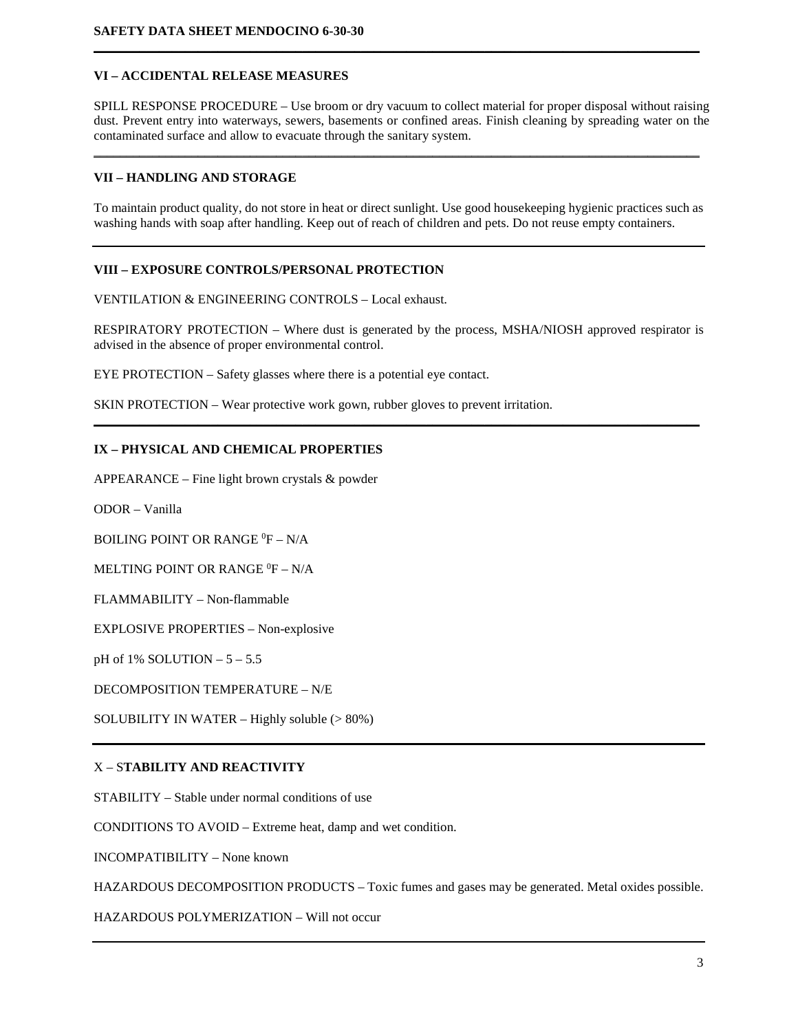# **VI – ACCIDENTAL RELEASE MEASURES**

SPILL RESPONSE PROCEDURE – Use broom or dry vacuum to collect material for proper disposal without raising dust. Prevent entry into waterways, sewers, basements or confined areas. Finish cleaning by spreading water on the contaminated surface and allow to evacuate through the sanitary system.

\_\_\_\_\_\_\_\_\_\_\_\_\_\_\_\_\_\_\_\_\_\_\_\_\_\_\_\_\_\_\_\_\_\_\_\_\_\_\_\_\_\_\_\_\_\_\_\_\_\_\_\_\_\_\_\_\_\_\_\_\_\_\_\_\_\_\_\_\_\_\_\_\_\_\_\_\_\_\_\_\_\_\_\_\_\_\_\_\_\_\_\_\_

**\_\_\_\_\_\_\_\_\_\_\_\_\_\_\_\_\_\_\_\_\_\_\_\_\_\_\_\_\_\_\_\_\_\_\_\_\_\_\_\_\_\_\_\_\_\_\_\_\_\_\_\_\_\_\_\_\_\_\_\_\_\_\_\_\_\_\_\_\_\_\_\_\_\_\_\_\_\_\_\_\_\_\_\_\_\_\_\_\_\_\_\_\_**

### **VII – HANDLING AND STORAGE**

To maintain product quality, do not store in heat or direct sunlight. Use good housekeeping hygienic practices such as washing hands with soap after handling. Keep out of reach of children and pets. Do not reuse empty containers.

## **VIII – EXPOSURE CONTROLS/PERSONAL PROTECTION**

VENTILATION & ENGINEERING CONTROLS – Local exhaust.

RESPIRATORY PROTECTION – Where dust is generated by the process, MSHA/NIOSH approved respirator is advised in the absence of proper environmental control.

**\_\_\_\_\_\_\_\_\_\_\_\_\_\_\_\_\_\_\_\_\_\_\_\_\_\_\_\_\_\_\_\_\_\_\_\_\_\_\_\_\_\_\_\_\_\_\_\_\_\_\_\_\_\_\_\_\_\_\_\_\_\_\_\_\_\_\_\_\_\_\_\_\_\_\_\_\_\_\_\_\_\_\_\_\_\_\_\_\_\_\_\_\_**

EYE PROTECTION – Safety glasses where there is a potential eye contact.

SKIN PROTECTION – Wear protective work gown, rubber gloves to prevent irritation.

## **IX – PHYSICAL AND CHEMICAL PROPERTIES**

APPEARANCE – Fine light brown crystals & powder

ODOR – Vanilla

BOILING POINT OR RANGE <sup>0</sup>F – N/A

MELTING POINT OR RANGE  $^0\text{F}$  – N/A

FLAMMABILITY – Non-flammable

EXPLOSIVE PROPERTIES – Non-explosive

pH of 1% SOLUTION – 5 – 5.5

DECOMPOSITION TEMPERATURE – N/E

SOLUBILITY IN WATER – Highly soluble (> 80%)

## X – S**TABILITY AND REACTIVITY**

STABILITY – Stable under normal conditions of use

CONDITIONS TO AVOID – Extreme heat, damp and wet condition.

INCOMPATIBILITY – None known

HAZARDOUS DECOMPOSITION PRODUCTS – Toxic fumes and gases may be generated. Metal oxides possible.

HAZARDOUS POLYMERIZATION – Will not occur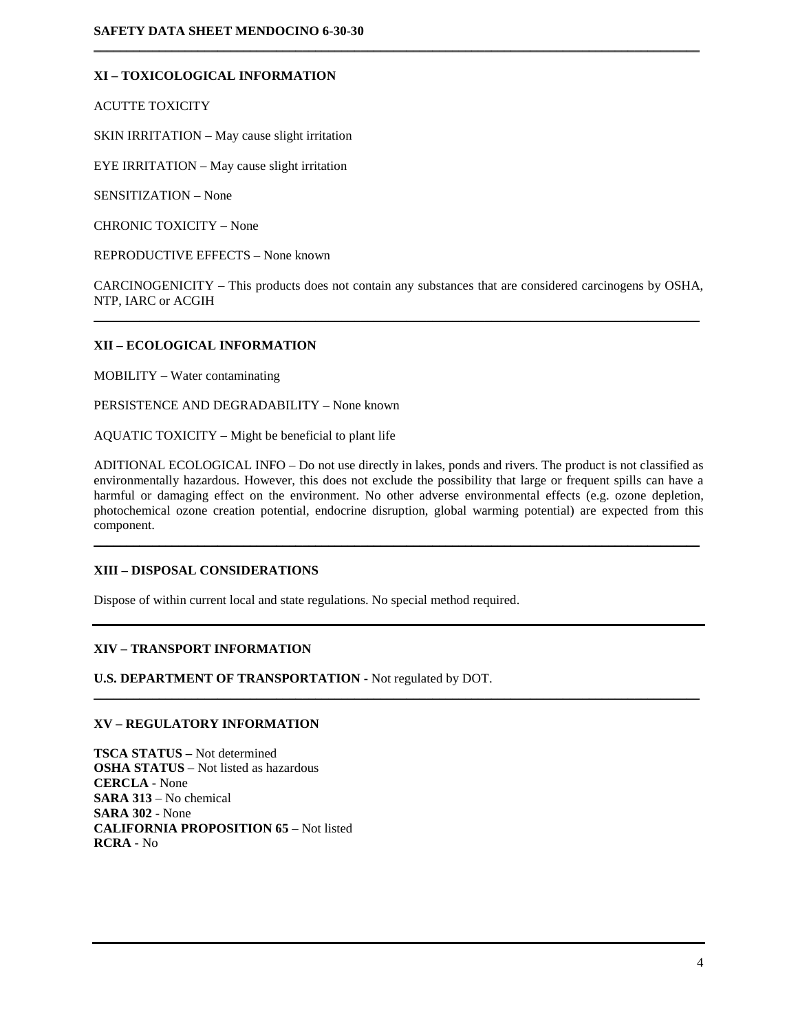# **XI – TOXICOLOGICAL INFORMATION**

ACUTTE TOXICITY

SKIN IRRITATION – May cause slight irritation

EYE IRRITATION – May cause slight irritation

SENSITIZATION – None

CHRONIC TOXICITY – None

REPRODUCTIVE EFFECTS – None known

CARCINOGENICITY – This products does not contain any substances that are considered carcinogens by OSHA, NTP, IARC or ACGIH  $\mathcal{L}_\mathcal{L} = \{ \mathcal{L}_\mathcal{L} = \{ \mathcal{L}_\mathcal{L} = \{ \mathcal{L}_\mathcal{L} = \{ \mathcal{L}_\mathcal{L} = \{ \mathcal{L}_\mathcal{L} = \{ \mathcal{L}_\mathcal{L} = \{ \mathcal{L}_\mathcal{L} = \{ \mathcal{L}_\mathcal{L} = \{ \mathcal{L}_\mathcal{L} = \{ \mathcal{L}_\mathcal{L} = \{ \mathcal{L}_\mathcal{L} = \{ \mathcal{L}_\mathcal{L} = \{ \mathcal{L}_\mathcal{L} = \{ \mathcal{L}_\mathcal{$ 

 $\mathcal{L}_\mathcal{L} = \{ \mathcal{L}_\mathcal{L} = \{ \mathcal{L}_\mathcal{L} = \{ \mathcal{L}_\mathcal{L} = \{ \mathcal{L}_\mathcal{L} = \{ \mathcal{L}_\mathcal{L} = \{ \mathcal{L}_\mathcal{L} = \{ \mathcal{L}_\mathcal{L} = \{ \mathcal{L}_\mathcal{L} = \{ \mathcal{L}_\mathcal{L} = \{ \mathcal{L}_\mathcal{L} = \{ \mathcal{L}_\mathcal{L} = \{ \mathcal{L}_\mathcal{L} = \{ \mathcal{L}_\mathcal{L} = \{ \mathcal{L}_\mathcal{$ 

#### **XII – ECOLOGICAL INFORMATION**

MOBILITY – Water contaminating

PERSISTENCE AND DEGRADABILITY – None known

AQUATIC TOXICITY – Might be beneficial to plant life

ADITIONAL ECOLOGICAL INFO – Do not use directly in lakes, ponds and rivers. The product is not classified as environmentally hazardous. However, this does not exclude the possibility that large or frequent spills can have a harmful or damaging effect on the environment. No other adverse environmental effects (e.g. ozone depletion, photochemical ozone creation potential, endocrine disruption, global warming potential) are expected from this component.

 $\mathcal{L}_\mathcal{L} = \{ \mathcal{L}_\mathcal{L} = \{ \mathcal{L}_\mathcal{L} = \{ \mathcal{L}_\mathcal{L} = \{ \mathcal{L}_\mathcal{L} = \{ \mathcal{L}_\mathcal{L} = \{ \mathcal{L}_\mathcal{L} = \{ \mathcal{L}_\mathcal{L} = \{ \mathcal{L}_\mathcal{L} = \{ \mathcal{L}_\mathcal{L} = \{ \mathcal{L}_\mathcal{L} = \{ \mathcal{L}_\mathcal{L} = \{ \mathcal{L}_\mathcal{L} = \{ \mathcal{L}_\mathcal{L} = \{ \mathcal{L}_\mathcal{$ 

 $\mathcal{L}_\mathcal{L} = \mathcal{L}_\mathcal{L} = \mathcal{L}_\mathcal{L} = \mathcal{L}_\mathcal{L} = \mathcal{L}_\mathcal{L} = \mathcal{L}_\mathcal{L} = \mathcal{L}_\mathcal{L} = \mathcal{L}_\mathcal{L} = \mathcal{L}_\mathcal{L} = \mathcal{L}_\mathcal{L} = \mathcal{L}_\mathcal{L} = \mathcal{L}_\mathcal{L} = \mathcal{L}_\mathcal{L} = \mathcal{L}_\mathcal{L} = \mathcal{L}_\mathcal{L} = \mathcal{L}_\mathcal{L} = \mathcal{L}_\mathcal{L}$ 

## **XIII – DISPOSAL CONSIDERATIONS**

Dispose of within current local and state regulations. No special method required.

## **XIV – TRANSPORT INFORMATION**

**U.S. DEPARTMENT OF TRANSPORTATION -** Not regulated by DOT.

# **XV – REGULATORY INFORMATION**

**TSCA STATUS –** Not determined **OSHA STATUS** – Not listed as hazardous **CERCLA -** None **SARA 313** – No chemical **SARA 302** - None **CALIFORNIA PROPOSITION 65** – Not listed **RCRA -** No